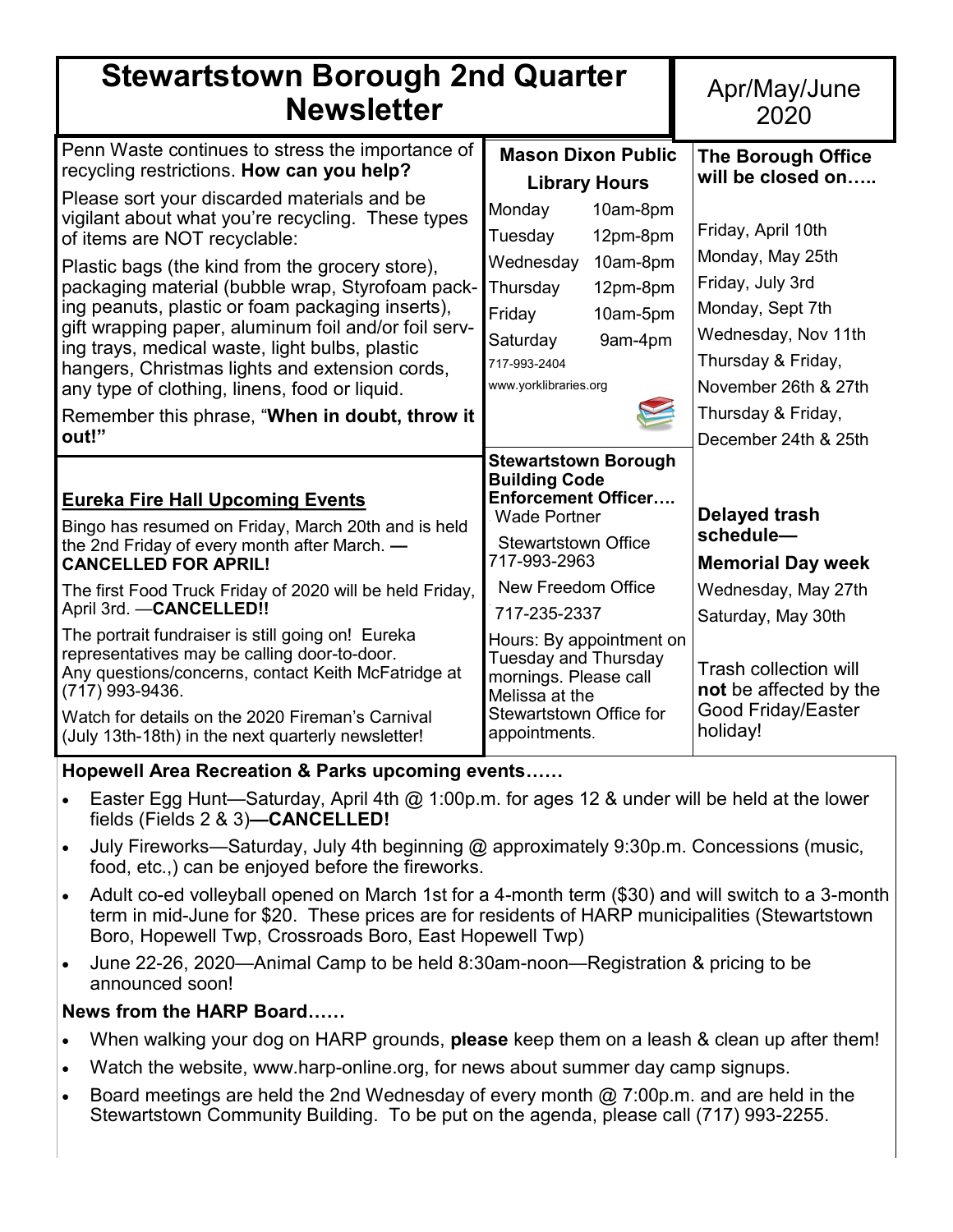| <b>Stewartstown Borough 2nd Quarter</b><br><b>Newsletter</b>                                                                                                                                                                                                                                                                                                                                                                                                                                                                                                                                              | Apr/May/June<br>2020                                                                                                                                                                                                                  |                                                                                                                                                                                                       |
|-----------------------------------------------------------------------------------------------------------------------------------------------------------------------------------------------------------------------------------------------------------------------------------------------------------------------------------------------------------------------------------------------------------------------------------------------------------------------------------------------------------------------------------------------------------------------------------------------------------|---------------------------------------------------------------------------------------------------------------------------------------------------------------------------------------------------------------------------------------|-------------------------------------------------------------------------------------------------------------------------------------------------------------------------------------------------------|
| Penn Waste continues to stress the importance of<br>recycling restrictions. How can you help?<br>Please sort your discarded materials and be<br>vigilant about what you're recycling. These types<br>of items are NOT recyclable:<br>Plastic bags (the kind from the grocery store),<br>packaging material (bubble wrap, Styrofoam pack-<br>ing peanuts, plastic or foam packaging inserts),<br>gift wrapping paper, aluminum foil and/or foil serv-<br>ing trays, medical waste, light bulbs, plastic<br>hangers, Christmas lights and extension cords,<br>any type of clothing, linens, food or liquid. | <b>Mason Dixon Public</b><br><b>Library Hours</b><br>Monday<br>10am-8pm<br>Tuesday<br>12pm-8pm<br>Wednesday<br>10am-8pm<br>Thursday<br>12pm-8pm<br>Friday<br>10am-5pm<br>9am-4pm<br>Saturday<br>717-993-2404<br>www.yorklibraries.org | <b>The Borough Office</b><br>will be closed on<br>Friday, April 10th<br>Monday, May 25th<br>Friday, July 3rd<br>Monday, Sept 7th<br>Wednesday, Nov 11th<br>Thursday & Friday,<br>November 26th & 27th |
| Remember this phrase, "When in doubt, throw it<br>out!"                                                                                                                                                                                                                                                                                                                                                                                                                                                                                                                                                   |                                                                                                                                                                                                                                       | Thursday & Friday,<br>December 24th & 25th                                                                                                                                                            |
| <b>Eureka Fire Hall Upcoming Events</b><br>Bingo has resumed on Friday, March 20th and is held<br>the 2nd Friday of every month after March. -<br><b>CANCELLED FOR APRIL!</b>                                                                                                                                                                                                                                                                                                                                                                                                                             | <b>Stewartstown Borough</b><br><b>Building Code</b><br><b>Enforcement Officer</b><br><b>Wade Portner</b><br><b>Stewartstown Office</b><br>717-993-2963                                                                                | <b>Delayed trash</b><br>schedule-<br><b>Memorial Day week</b>                                                                                                                                         |
| The first Food Truck Friday of 2020 will be held Friday,<br>April 3rd. - CANCELLED!!                                                                                                                                                                                                                                                                                                                                                                                                                                                                                                                      | New Freedom Office<br>717-235-2337                                                                                                                                                                                                    | Wednesday, May 27th<br>Saturday, May 30th                                                                                                                                                             |
| The portrait fundraiser is still going on! Eureka<br>representatives may be calling door-to-door.<br>Any questions/concerns, contact Keith McFatridge at<br>(717) 993-9436.<br>Watch for details on the 2020 Fireman's Carnival<br>(July 13th-18th) in the next quarterly newsletter!                                                                                                                                                                                                                                                                                                                     | Hours: By appointment on<br><b>Tuesday and Thursday</b><br>mornings. Please call<br>Melissa at the<br><b>Stewartstown Office for</b><br>appointments.                                                                                 | <b>Trash collection will</b><br>not be affected by the<br><b>Good Friday/Easter</b><br>holiday!                                                                                                       |

**Hopewell Area Recreation & Parks upcoming events……**

- Easter Egg Hunt—Saturday, April 4th @ 1:00p.m. for ages 12 & under will be held at the lower fields (Fields 2 & 3)**—CANCELLED!**
- July Fireworks—Saturday, July 4th beginning @ approximately 9:30p.m. Concessions (music, food, etc.,) can be enjoyed before the fireworks.
- Adult co-ed volleyball opened on March 1st for a 4-month term (\$30) and will switch to a 3-month term in mid-June for \$20. These prices are for residents of HARP municipalities (Stewartstown Boro, Hopewell Twp, Crossroads Boro, East Hopewell Twp)
- June 22-26, 2020—Animal Camp to be held 8:30am-noon—Registration & pricing to be announced soon!

# **News from the HARP Board……**

- When walking your dog on HARP grounds, **please** keep them on a leash & clean up after them!
- Watch the website, www.harp-online.org, for news about summer day camp signups.
- Board meetings are held the 2nd Wednesday of every month  $@$  7:00p.m. and are held in the Stewartstown Community Building. To be put on the agenda, please call (717) 993-2255.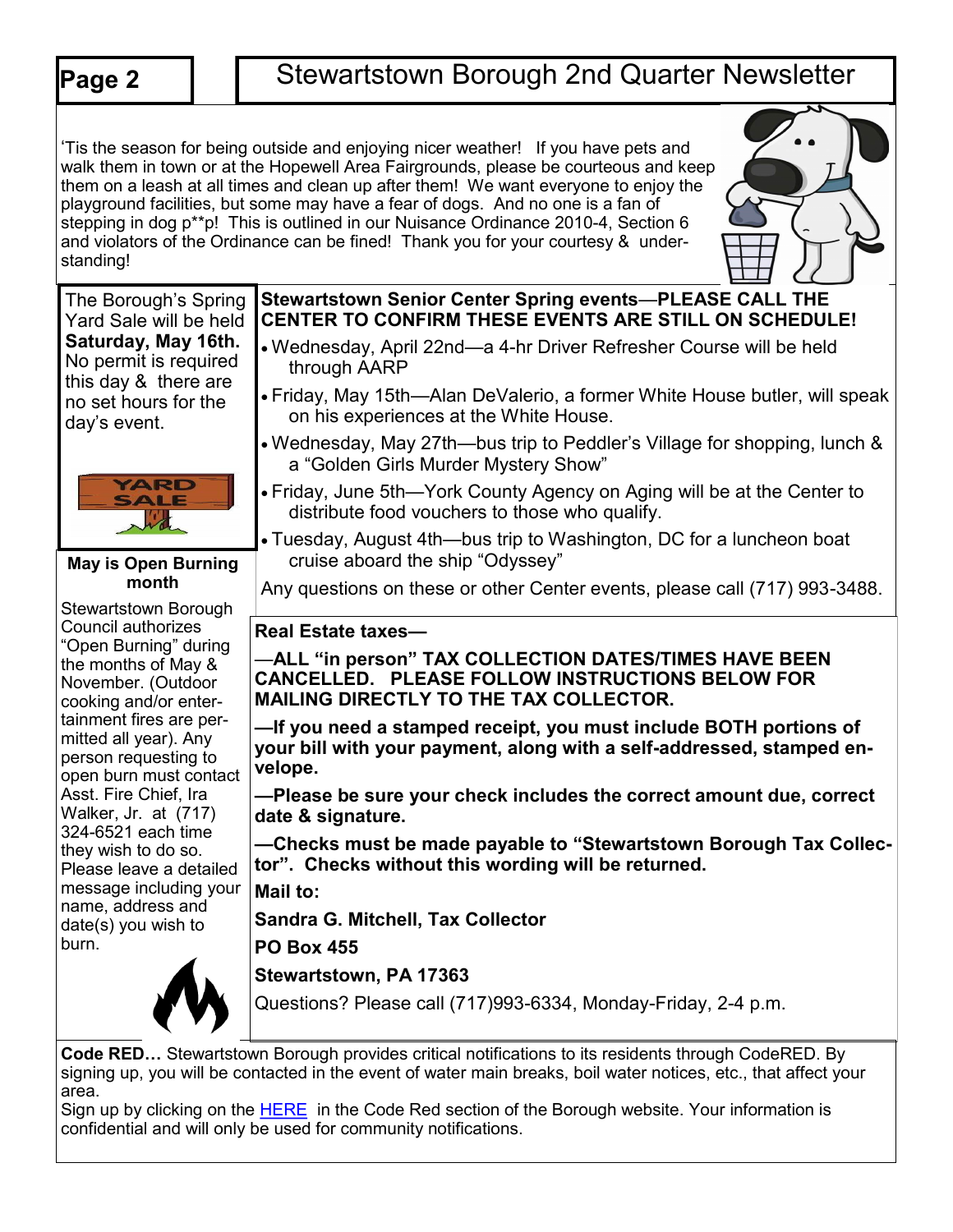| Page 2                                                                                                                                                                                                                                                                                                                                                                                                                                                                                                                                                                                                                                                                                  |  | <b>Stewartstown Borough 2nd Quarter Newsletter</b>                                                                                                                                                                                                                                                                                                                                                                                                                                                                                                                                                                                                                             |
|-----------------------------------------------------------------------------------------------------------------------------------------------------------------------------------------------------------------------------------------------------------------------------------------------------------------------------------------------------------------------------------------------------------------------------------------------------------------------------------------------------------------------------------------------------------------------------------------------------------------------------------------------------------------------------------------|--|--------------------------------------------------------------------------------------------------------------------------------------------------------------------------------------------------------------------------------------------------------------------------------------------------------------------------------------------------------------------------------------------------------------------------------------------------------------------------------------------------------------------------------------------------------------------------------------------------------------------------------------------------------------------------------|
| standing!                                                                                                                                                                                                                                                                                                                                                                                                                                                                                                                                                                                                                                                                               |  | 'Tis the season for being outside and enjoying nicer weather! If you have pets and<br>walk them in town or at the Hopewell Area Fairgrounds, please be courteous and keep<br>them on a leash at all times and clean up after them! We want everyone to enjoy the<br>playground facilities, but some may have a fear of dogs. And no one is a fan of<br>stepping in dog p**p! This is outlined in our Nuisance Ordinance 2010-4, Section 6<br>and violators of the Ordinance can be fined! Thank you for your courtesy & under-                                                                                                                                                 |
| The Borough's Spring<br>Yard Sale will be held<br>Saturday, May 16th.<br>No permit is required<br>this day & there are<br>no set hours for the<br>day's event.<br><b>YARD</b><br>SALE<br><b>May is Open Burning</b><br>month<br>Stewartstown Borough<br>Council authorizes<br>"Open Burning" during<br>the months of May &<br>November. (Outdoor<br>cooking and/or enter-<br>tainment fires are per-<br>mitted all year). Any<br>person requesting to<br>open burn must contact<br>Asst. Fire Chief, Ira<br>Walker, Jr. at (717)<br>324-6521 each time<br>they wish to do so.<br>Please leave a detailed<br>message including your<br>name, address and<br>date(s) you wish to<br>burn. |  | Stewartstown Senior Center Spring events-PLEASE CALL THE<br><b>CENTER TO CONFIRM THESE EVENTS ARE STILL ON SCHEDULE!</b><br>• Wednesday, April 22nd—a 4-hr Driver Refresher Course will be held<br>through AARP<br>• Friday, May 15th—Alan DeValerio, a former White House butler, will speak<br>on his experiences at the White House.<br>. Wednesday, May 27th-bus trip to Peddler's Village for shopping, lunch &<br>a "Golden Girls Murder Mystery Show"<br>• Friday, June 5th—York County Agency on Aging will be at the Center to<br>distribute food vouchers to those who qualify.                                                                                      |
|                                                                                                                                                                                                                                                                                                                                                                                                                                                                                                                                                                                                                                                                                         |  | • Tuesday, August 4th-bus trip to Washington, DC for a luncheon boat<br>cruise aboard the ship "Odyssey"<br>Any questions on these or other Center events, please call (717) 993-3488.                                                                                                                                                                                                                                                                                                                                                                                                                                                                                         |
|                                                                                                                                                                                                                                                                                                                                                                                                                                                                                                                                                                                                                                                                                         |  | <b>Real Estate taxes-</b><br>—ALL "in person" TAX COLLECTION DATES/TIMES HAVE BEEN<br>CANCELLED. PLEASE FOLLOW INSTRUCTIONS BELOW FOR<br><b>MAILING DIRECTLY TO THE TAX COLLECTOR.</b><br>-If you need a stamped receipt, you must include BOTH portions of<br>your bill with your payment, along with a self-addressed, stamped en-<br>velope.<br>-Please be sure your check includes the correct amount due, correct<br>date & signature.<br>-Checks must be made payable to "Stewartstown Borough Tax Collec-<br>tor". Checks without this wording will be returned.<br>Mail to:<br><b>Sandra G. Mitchell, Tax Collector</b><br><b>PO Box 455</b><br>Stewartstown, PA 17363 |
|                                                                                                                                                                                                                                                                                                                                                                                                                                                                                                                                                                                                                                                                                         |  | Questions? Please call (717)993-6334, Monday-Friday, 2-4 p.m.                                                                                                                                                                                                                                                                                                                                                                                                                                                                                                                                                                                                                  |

**Code RED…** Stewartstown Borough provides critical notifications to its residents through CodeRED. By signing up, you will be contacted in the event of water main breaks, boil water notices, etc., that affect your area.

Sign up by clicking on the **[HERE](https://public.coderedweb.com/cne/en-us/f9ec63def2b4)** in the Code Red section of the Borough website. Your information is confidential and will only be used for community notifications.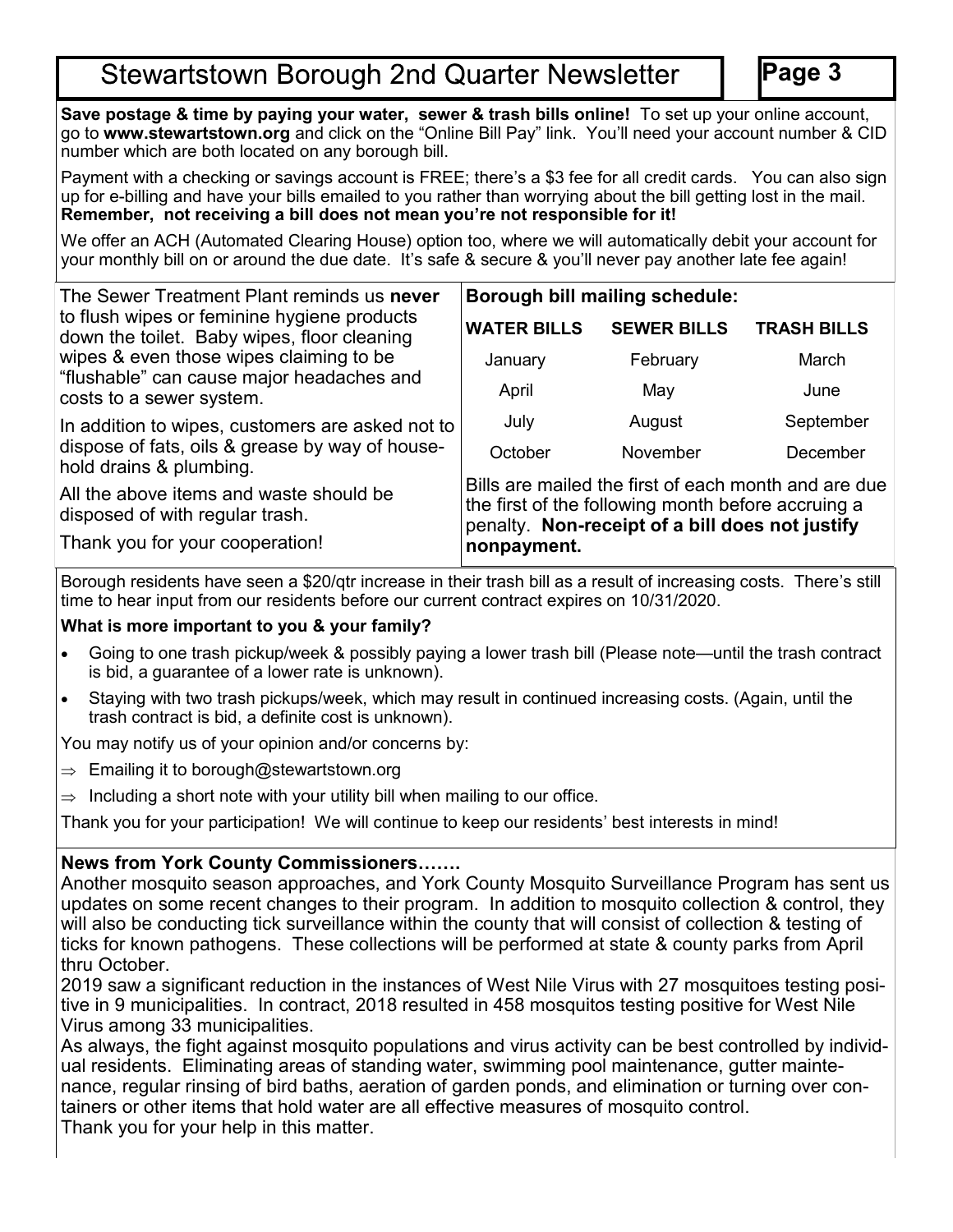# **Stewartstown Borough 2nd Quarter Newsletter**

**Page 3**

**Save postage & time by paying your water, sewer & trash bills online!** To set up your online account, go to **www.stewartstown.org** and click on the "Online Bill Pay" link. You'll need your account number & CID number which are both located on any borough bill.

Payment with a checking or savings account is FREE; there's a \$3 fee for all credit cards. You can also sign up for e-billing and have your bills emailed to you rather than worrying about the bill getting lost in the mail. **Remember, not receiving a bill does not mean you're not responsible for it!**

We offer an ACH (Automated Clearing House) option too, where we will automatically debit your account for your monthly bill on or around the due date. It's safe & secure & you'll never pay another late fee again!

| The Sewer Treatment Plant reminds us never                                                                       | Borough bill mailing schedule:                                                                                                                                               |                    |                    |
|------------------------------------------------------------------------------------------------------------------|------------------------------------------------------------------------------------------------------------------------------------------------------------------------------|--------------------|--------------------|
| to flush wipes or feminine hygiene products<br>down the toilet. Baby wipes, floor cleaning                       | <b>WATER BILLS</b>                                                                                                                                                           | <b>SEWER BILLS</b> | <b>TRASH BILLS</b> |
| wipes & even those wipes claiming to be<br>"flushable" can cause major headaches and<br>costs to a sewer system. | January                                                                                                                                                                      | February           | March              |
|                                                                                                                  | April                                                                                                                                                                        | May                | June               |
| In addition to wipes, customers are asked not to                                                                 | July                                                                                                                                                                         | August             | September          |
| dispose of fats, oils & grease by way of house-<br>hold drains & plumbing.                                       | October                                                                                                                                                                      | November           | December           |
| All the above items and waste should be<br>disposed of with regular trash.                                       | Bills are mailed the first of each month and are due<br>the first of the following month before accruing a<br>penalty. Non-receipt of a bill does not justify<br>nonpayment. |                    |                    |
| Thank you for your cooperation!                                                                                  |                                                                                                                                                                              |                    |                    |

Borough residents have seen a \$20/qtr increase in their trash bill as a result of increasing costs. There's still time to hear input from our residents before our current contract expires on 10/31/2020.

## **What is more important to you & your family?**

- Going to one trash pickup/week & possibly paying a lower trash bill (Please note—until the trash contract is bid, a guarantee of a lower rate is unknown).
- Staying with two trash pickups/week, which may result in continued increasing costs. (Again, until the trash contract is bid, a definite cost is unknown).

You may notify us of your opinion and/or concerns by:

- $\Rightarrow$  Emailing it to borough@stewartstown.org
- $\Rightarrow$  Including a short note with your utility bill when mailing to our office.

Thank you for your participation! We will continue to keep our residents' best interests in mind!

# **News from York County Commissioners…….**

Another mosquito season approaches, and York County Mosquito Surveillance Program has sent us updates on some recent changes to their program. In addition to mosquito collection & control, they will also be conducting tick surveillance within the county that will consist of collection & testing of ticks for known pathogens. These collections will be performed at state & county parks from April thru October.

2019 saw a significant reduction in the instances of West Nile Virus with 27 mosquitoes testing positive in 9 municipalities. In contract, 2018 resulted in 458 mosquitos testing positive for West Nile Virus among 33 municipalities.

As always, the fight against mosquito populations and virus activity can be best controlled by individual residents. Eliminating areas of standing water, swimming pool maintenance, gutter maintenance, regular rinsing of bird baths, aeration of garden ponds, and elimination or turning over containers or other items that hold water are all effective measures of mosquito control. Thank you for your help in this matter.